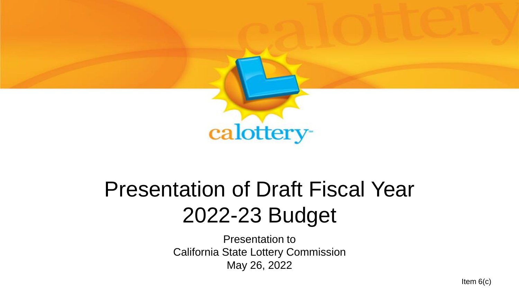

#### Presentation of Draft Fiscal Year 2022-23 Budget

Presentation to California State Lottery Commission May 26, 2022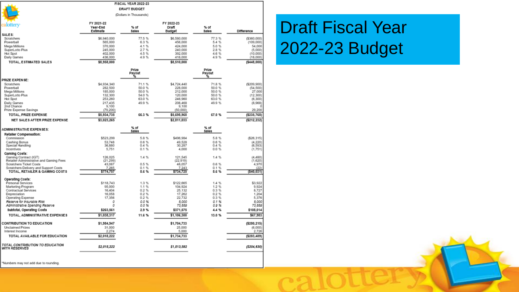|                                                                  |                                    | <b>FISCAL YEAR 2022-23</b> |                               |                        |                     |
|------------------------------------------------------------------|------------------------------------|----------------------------|-------------------------------|------------------------|---------------------|
|                                                                  |                                    | <b>DRAFT BUDGET</b>        |                               |                        |                     |
|                                                                  |                                    | (Dollars in Thousands)     |                               |                        |                     |
| calotterv                                                        | FY 2021-22<br>Year-End<br>Estimate | $%$ of<br><b>Sales</b>     | FY 2022-23<br>Draft<br>Budget | $%$ of<br><b>Sales</b> | <b>Difference</b>   |
| SALES:<br>Scratchers                                             | \$6,940,000                        | 77.5%                      | \$6,580,000                   | 77.3%                  | (3360, 000)         |
| Powerball                                                        | 565,000                            | 6.3%                       | 456.000                       | 5.4 %                  | (109, 000)          |
| Mega Millions                                                    | 370,000                            | 4.1%                       | 424.000                       | 5.0%                   | 54.000              |
| SuperLotto Plus<br>Hot Spot                                      | 245.000<br>402,000                 | 2.7%<br>4.5 %              | 240,000<br>392.000            | 2.8%<br>46%            | (5.000)<br>(10.000) |
| Daily Games                                                      | 436,000                            | 4.9%                       | 418,000                       | 4.9%                   | (18,000)            |
| TOTAL, ESTIMATED SALES                                           | \$8,958,000                        |                            | \$8,510,000                   |                        | ( \$448,000]        |
|                                                                  |                                    | Prize<br>Payout            |                               | Prize<br>Payout<br>%   |                     |
| PRIZE EXPENSE:                                                   |                                    | ۰,                         |                               |                        |                     |
| Scratchers                                                       | \$4.934.340                        | 71.1 %                     | \$4.724.440                   | 71.8 %                 | (\$209.900)         |
| Powerball                                                        | 282,500                            | 50.0 %                     | 228,000                       | 50.0%                  | (54, 500)           |
| Mega Millions<br>SuperLotto Plus                                 | 185,000<br>132,300                 | 50.0 %<br>54.0 %           | 212,000<br>120,000            | 50.0 %<br>50.0 %       | 27,000<br>(12.300)  |
| <b>Hot Spot</b>                                                  | 253,260                            | 63.0 %                     | 246.960                       | 63.0 %                 | (6,300)             |
| Daily Games                                                      | 217.435                            | 49.9%                      | 208.468                       | 49.9%                  | (8,968)             |
| 2nd Chance                                                       | 9.100                              |                            | 9.100                         |                        |                     |
| Prize Expense Savings                                            | (79, 200)                          |                            | (50, 000)                     |                        | 29.200              |
| TOTAL, PRIZE EXPENSE                                             | \$5,934,735                        | 66.3%                      | \$5,698,968                   | 67.0%                  | ( \$235, 768)       |
| NET SALES AFTER PRIZE EXPENSE                                    | \$3,023,265                        |                            | \$2,811,033                   |                        | ( \$212, 232)       |
| <b>ADMINISTRATIVE EXPENSES:</b>                                  |                                    | $%$ of<br><b>Sales</b>     |                               | % of<br><b>Sales</b>   |                     |
| Retaller Compensation:                                           |                                    |                            |                               |                        |                     |
| Commission                                                       | \$523,299                          | 5.8%                       | \$496.984                     | 5.8%                   | (526.315)           |
| Cashing Bonus<br>Special Handling                                | 53.748<br>36,880                   | 0.6 %<br>0.4%              | 49.528<br>30,287              | 0.6 %<br>0.4%          | (4.220)<br>(6.593)  |
| Incentives                                                       | 5.751                              | 0.1%                       | 4.000                         | 0.0%                   | (1.751)             |
| Gaming Costs:                                                    |                                    |                            |                               |                        |                     |
| Gaming Contract (IGT)<br>Retailer Administrative and Gaming Fees | 126.025<br>(21.299)                | 1.4%                       | 121.545<br>(22.919)           | 1.4%                   | (4.480)<br>(1.620)  |
| <b>Scratchers Ticket Costs</b>                                   | 43,087                             | 0.5%                       | 48.057                        | 0.6%                   | 4,970               |
| Scratchers Delivery and Support Costs                            | 7.265                              | 0.1%                       | 7.243                         | 0.1%                   | (22)                |
| TOTAL, RETAILER & GAMING COSTS                                   | \$774,757                          | 8.6%                       | \$734,725                     | 8.6%                   | (\$40,031)          |
| Operating Costs:                                                 |                                    |                            |                               |                        |                     |
| Personal Services<br>Marketing Program                           | \$118,743<br>95.000                | 1.3%<br>1.1%               | \$122,665<br>104.924          | 1.4 %<br>1.2%          | \$3,922<br>9.924    |
| Contractual Services                                             | 16,404                             | 0.2 %                      | 25.132                        | 0.3%                   | 8.727               |
| Depreciation                                                     | 16,058                             | 0.2 %                      | 17.262                        | 0.2 %                  | 1.204               |
| Operating Expense                                                | 17,356                             | 0.2 %<br>0.0%              | 22.732<br>5.000               | 0.3%<br>0.1%           | 5.376<br>5.000      |
| Reserve for Insurable Risk<br>Administrative Spending Reserve    | 0<br>0                             | 0.0 %                      | 73,859                        | 0.0 %                  | 73,859              |
| Subtotal, Operating Costs                                        | \$263,561                          | 2.9%                       | \$371,575                     | 4.4%                   | \$108,014           |
| TOTAL, ADMINISTRATIVE EXPENSES                                   | \$1,038,317                        | 11.6%                      | \$1,106,300                   | 13.0%                  | \$67,983            |
| CONTRIBUTION TO EDUCATION                                        | \$1,984,947                        |                            | \$1,704,733                   |                        | ( \$280, 215)       |
| <b>Unclaimed Prizes</b>                                          | 31,000                             |                            | 25.000                        |                        | (6,000)             |
| Interest Income                                                  | 2.274                              |                            | 5,000                         |                        | 2.726               |
| TOTAL AVAILABLE FOR EDUCATION                                    | \$2,018,222                        |                            | \$1,734,733                   |                        | ( \$283,489)        |
| TOTAL CONTRIBUTION TO EDUCATION<br><b>WITH RESERVES</b>          | \$2,018,222                        |                            | \$1,813,592                   |                        | (\$204,630)         |

#### Draft Fiscal Year 2022-23 Budget

\*Numbers may not add due to rounding.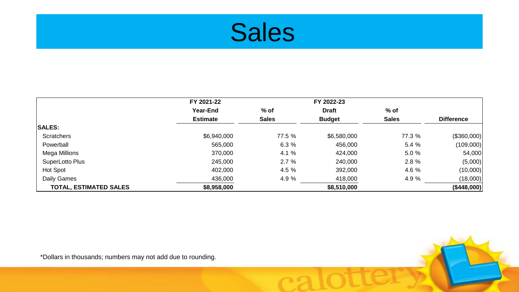

|                               | FY 2021-22      |              | FY 2022-23    |              |                   |
|-------------------------------|-----------------|--------------|---------------|--------------|-------------------|
|                               | <b>Year-End</b> | $%$ of       | <b>Draft</b>  | $%$ of       |                   |
|                               | <b>Estimate</b> | <b>Sales</b> | <b>Budget</b> | <b>Sales</b> | <b>Difference</b> |
| <b>SALES:</b>                 |                 |              |               |              |                   |
| <b>Scratchers</b>             | \$6,940,000     | 77.5 %       | \$6,580,000   | 77.3 %       | (\$360,000)       |
| Powerball                     | 565,000         | 6.3%         | 456,000       | 5.4 %        | (109,000)         |
| Mega Millions                 | 370,000         | 4.1 %        | 424,000       | 5.0 %        | 54,000            |
| SuperLotto Plus               | 245,000         | 2.7%         | 240,000       | 2.8 %        | (5,000)           |
| Hot Spot                      | 402,000         | 4.5 %        | 392,000       | 4.6 %        | (10,000)          |
| Daily Games                   | 436,000         | 4.9 %        | 418,000       | 4.9 %        | (18,000)          |
| <b>TOTAL, ESTIMATED SALES</b> | \$8,958,000     |              | \$8,510,000   |              | (\$448,000)       |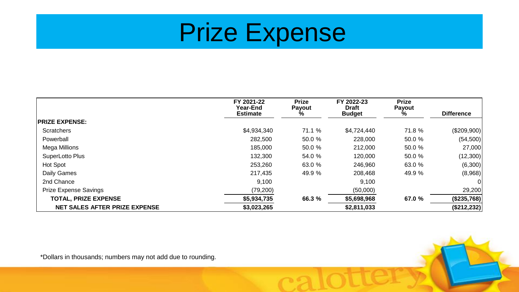## Prize Expense

|                                      | FY 2021-22<br>Year-End<br><b>Estimate</b> | <b>Prize</b><br>Payout<br>% | FY 2022-23<br><b>Draft</b><br><b>Budget</b> | <b>Prize</b><br><b>Payout</b><br>% | <b>Difference</b> |
|--------------------------------------|-------------------------------------------|-----------------------------|---------------------------------------------|------------------------------------|-------------------|
| <b>PRIZE EXPENSE:</b>                |                                           |                             |                                             |                                    |                   |
| <b>Scratchers</b>                    | \$4,934,340                               | 71.1 %                      | \$4,724,440                                 | 71.8 %                             | $(\$209,900)$     |
| Powerball                            | 282,500                                   | 50.0 %                      | 228,000                                     | 50.0 %                             | (54,500)          |
| Mega Millions                        | 185,000                                   | 50.0 %                      | 212,000                                     | 50.0 %                             | 27,000            |
| SuperLotto Plus                      | 132,300                                   | 54.0 %                      | 120,000                                     | 50.0 %                             | (12,300)          |
| Hot Spot                             | 253,260                                   | 63.0 %                      | 246,960                                     | 63.0 %                             | (6,300)           |
| Daily Games                          | 217,435                                   | 49.9 %                      | 208,468                                     | 49.9 %                             | (8,968)           |
| 2nd Chance                           | 9,100                                     |                             | 9,100                                       |                                    | 0                 |
| <b>Prize Expense Savings</b>         | (79, 200)                                 |                             | (50,000)                                    |                                    | 29,200            |
| <b>TOTAL, PRIZE EXPENSE</b>          | \$5,934,735                               | 66.3 %                      | \$5,698,968                                 | 67.0 %                             | (\$235,768)       |
| <b>NET SALES AFTER PRIZE EXPENSE</b> | \$3,023,265                               |                             | \$2,811,033                                 |                                    | (\$212,232)       |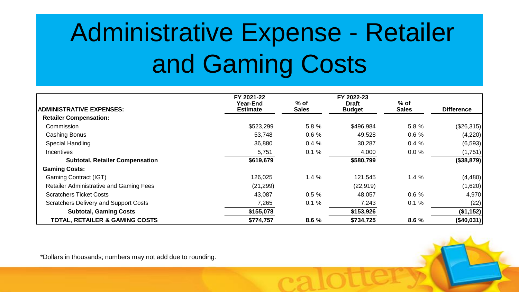# Administrative Expense - Retailer and Gaming Costs

| <b>ADMINISTRATIVE EXPENSES:</b>                | FY 2021-22<br><b>Year-End</b><br><b>Estimate</b> | $%$ of<br><b>Sales</b> | FY 2022-23<br><b>Draft</b><br><b>Budget</b> | $%$ of<br><b>Sales</b> | <b>Difference</b> |
|------------------------------------------------|--------------------------------------------------|------------------------|---------------------------------------------|------------------------|-------------------|
| <b>Retailer Compensation:</b>                  |                                                  |                        |                                             |                        |                   |
| Commission                                     | \$523,299                                        | 5.8 %                  | \$496,984                                   | 5.8 %                  | $(\$26,315)$      |
| Cashing Bonus                                  | 53,748                                           | 0.6%                   | 49,528                                      | 0.6%                   | (4,220)           |
| <b>Special Handling</b>                        | 36,880                                           | 0.4%                   | 30,287                                      | 0.4%                   | (6, 593)          |
| <b>Incentives</b>                              | 5,751                                            | 0.1%                   | 4,000                                       | 0.0%                   | (1,751)           |
| <b>Subtotal, Retailer Compensation</b>         | \$619,679                                        |                        | \$580,799                                   |                        | (\$38,879)        |
| <b>Gaming Costs:</b>                           |                                                  |                        |                                             |                        |                   |
| <b>Gaming Contract (IGT)</b>                   | 126,025                                          | 1.4%                   | 121,545                                     | 1.4%                   | (4, 480)          |
| <b>Retailer Administrative and Gaming Fees</b> | (21, 299)                                        |                        | (22, 919)                                   |                        | (1,620)           |
| <b>Scratchers Ticket Costs</b>                 | 43,087                                           | 0.5%                   | 48,057                                      | 0.6%                   | 4,970             |
| <b>Scratchers Delivery and Support Costs</b>   | 7,265                                            | 0.1%                   | 7,243                                       | 0.1%                   | (22)              |
| <b>Subtotal, Gaming Costs</b>                  | \$155,078                                        |                        | \$153,926                                   |                        | (\$1,152)         |
| <b>TOTAL, RETAILER &amp; GAMING COSTS</b>      | \$774,757                                        | 8.6 %                  | \$734,725                                   | 8.6 %                  | (\$40,031)        |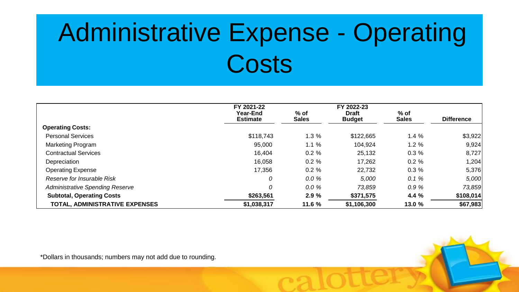# Administrative Expense - Operating **Costs**

|                                        | FY 2021-22<br>Year-End<br><b>Estimate</b> | $%$ of<br><b>Sales</b> | FY 2022-23<br><b>Draft</b><br><b>Budget</b> | $%$ of<br><b>Sales</b> | <b>Difference</b> |
|----------------------------------------|-------------------------------------------|------------------------|---------------------------------------------|------------------------|-------------------|
| <b>Operating Costs:</b>                |                                           |                        |                                             |                        |                   |
| <b>Personal Services</b>               | \$118,743                                 | 1.3%                   | \$122,665                                   | 1.4%                   | \$3,922           |
| <b>Marketing Program</b>               | 95,000                                    | 1.1%                   | 104,924                                     | 1.2%                   | 9,924             |
| <b>Contractual Services</b>            | 16,404                                    | 0.2%                   | 25,132                                      | 0.3%                   | 8,727             |
| Depreciation                           | 16,058                                    | $0.2 \%$               | 17,262                                      | 0.2%                   | 1,204             |
| <b>Operating Expense</b>               | 17,356                                    | $0.2 \%$               | 22,732                                      | 0.3%                   | 5,376             |
| Reserve for Insurable Risk             | 0                                         | 0.0%                   | 5,000                                       | 0.1%                   | 5,000             |
| <b>Administrative Spending Reserve</b> | 0                                         | 0.0%                   | 73,859                                      | 0.9%                   | 73,859            |
| <b>Subtotal, Operating Costs</b>       | \$263,561                                 | 2.9%                   | \$371,575                                   | 4.4 %                  | \$108,014         |
| <b>TOTAL, ADMINISTRATIVE EXPENSES</b>  | \$1,038,317                               | 11.6 %                 | \$1,106,300                                 | 13.0 %                 | \$67,983          |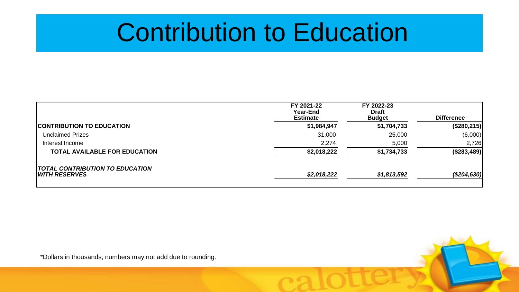### Contribution to Education

|                                                         | FY 2021-22<br><b>Year-End</b><br><b>Estimate</b> | FY 2022-23<br><b>Draft</b><br><b>Budget</b> | <b>Difference</b>  |
|---------------------------------------------------------|--------------------------------------------------|---------------------------------------------|--------------------|
| <b>CONTRIBUTION TO EDUCATION</b>                        | \$1,984,947                                      | \$1,704,733                                 | $($ \$280,215) $ $ |
| <b>Unclaimed Prizes</b>                                 | 31,000                                           | 25,000                                      | (6,000)            |
| Interest Income                                         | 2,274                                            | 5,000                                       | 2,726              |
| <b>TOTAL AVAILABLE FOR EDUCATION</b>                    | \$2,018,222                                      | \$1,734,733                                 | $($ \$283,489) $ $ |
| <b>TOTAL CONTRIBUTION TO EDUCATION</b><br>WITH RESERVES | \$2,018,222                                      | \$1,813,592                                 | ( \$204, 630]      |